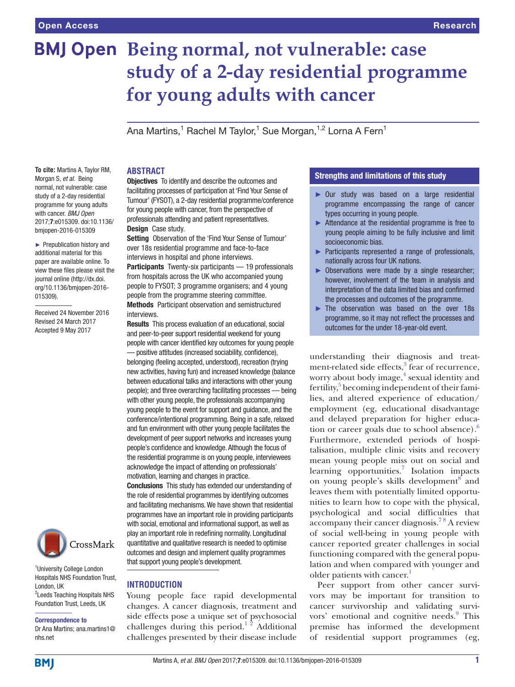# **BMJ Open** Being normal, not vulnerable: case **study of a 2-day residential programme for young adults with cancer**

Ana Martins,<sup>1</sup> Rachel M Taylor,<sup>1</sup> Sue Morgan,<sup>1,2</sup> Lorna A Fern<sup>1</sup>

#### **To cite:** Martins A, Taylor RM, Morgan S, *et al*. Being normal, not vulnerable: case study of a 2-day residential programme for young adults with cancer. *BMJ Open* 2017;7:e015309. doi:10.1136/ bmjopen-2016-015309

► Prepublication history and additional material for this paper are available online. To view these files please visit the journal online [\(http://dx.doi.](http://dx.doi.org/10.1136/bmjopen-2016-015309) [org/10.1136/bmjopen-2016-](http://dx.doi.org/10.1136/bmjopen-2016-015309) [015309\)](http://dx.doi.org/10.1136/bmjopen-2016-015309).

Received 24 November 2016 Revised 24 March 2017 Accepted 9 May 2017



<sup>1</sup>University College London Hospitals NHS Foundation Trust, London, UK 2 Leeds Teaching Hospitals NHS Foundation Trust, Leeds, UK

## Correspondence to

Dr Ana Martins; ana.martins1@ nhs.net

#### **Abstract**

**Objectives** To identify and describe the outcomes and facilitating processes of participation at 'Find Your Sense of Tumour' (FYSOT), a 2-day residential programme/conference for young people with cancer, from the perspective of professionals attending and patient representatives. Design Case study.

Setting Observation of the 'Find Your Sense of Tumour' over 18s residential programme and face-to-face interviews in hospital and phone interviews. Participants Twenty-six participants - 19 professionals from hospitals across the UK who accompanied young people to FYSOT; 3 programme organisers; and 4 young people from the programme steering committee. Methods Participant observation and semistructured interviews.

Results This process evaluation of an educational, social and peer-to-peer support residential weekend for young people with cancer identified key outcomes for young people — positive attitudes (increased sociability, confidence), belonging (feeling accepted, understood), recreation (trying new activities, having fun) and increased knowledge (balance between educational talks and interactions with other young people); and three overarching facilitating processes — being with other young people, the professionals accompanying young people to the event for support and guidance, and the conference/intentional programming. Being in a safe, relaxed and fun environment with other young people facilitates the development of peer support networks and increases young people's confidence and knowledge. Although the focus of the residential programme is on young people, interviewees acknowledge the impact of attending on professionals' motivation, learning and changes in practice.

Conclusions This study has extended our understanding of the role of residential programmes by identifying outcomes and facilitating mechanisms. We have shown that residential programmes have an important role in providing participants with social, emotional and informational support, as well as play an important role in redefining normality. Longitudinal quantitative and qualitative research is needed to optimise outcomes and design and implement quality programmes that support young people's development.

## **Introduction**

Young people face rapid developmental changes. A cancer diagnosis, treatment and side effects pose a unique set of psychosocial challenges during this period.<sup>12</sup> Additional challenges presented by their disease include

# Strengths and limitations of this study

- ► Our study was based on a large residential programme encompassing the range of cancer types occurring in young people.
- ► Attendance at the residential programme is free to young people aiming to be fully inclusive and limit socioeconomic bias.
- ► Participants represented a range of professionals, nationally across four UK nations.
- ► Observations were made by a single researcher; however, involvement of the team in analysis and interpretation of the data limited bias and confirmed the processes and outcomes of the programme.
- ► The observation was based on the over 18s programme, so it may not reflect the processes and outcomes for the under 18-year-old event.

understanding their diagnosis and treatment-related side effects,<sup>3</sup> fear of recurrence, worry about body image,<sup>[4](#page-8-2)</sup> sexual identity and fertility,<sup>[5](#page-8-3)</sup> becoming independent of their families, and altered experience of education/ employment (eg, educational disadvantage and delayed preparation for higher education or career goals due to school absence).<sup>6</sup> Furthermore, extended periods of hospitalisation, multiple clinic visits and recovery mean young people miss out on social and learning opportunities.<sup>7</sup> Isolation impacts on young people's skills development<sup>[8](#page-8-6)</sup> and leaves them with potentially limited opportunities to learn how to cope with the physical, psychological and social difficulties that accompany their cancer diagnosis.<sup>78</sup> A review of social well-being in young people with cancer reported greater challenges in social functioning compared with the general population and when compared with younger and older patients with cancer.<sup>[1](#page-8-0)</sup>

Peer support from other cancer survivors may be important for transition to cancer survivorship and validating survivors' emotional and cognitive needs.<sup>9</sup> This premise has informed the development of residential support programmes (eg,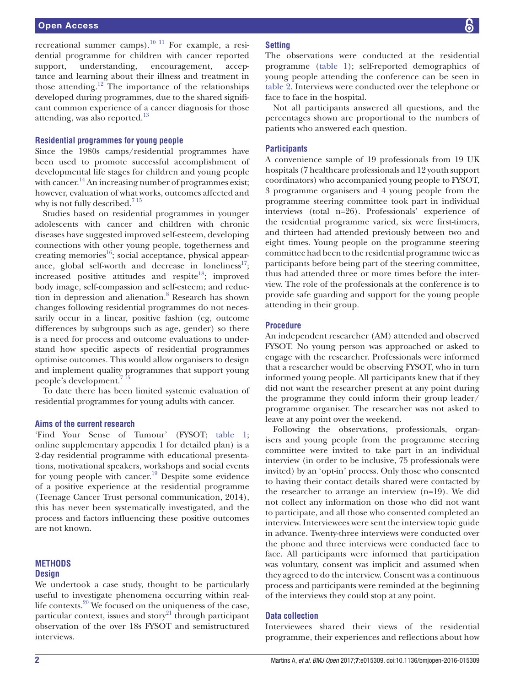recreational summer camps).<sup>10 11</sup> For example, a residential programme for children with cancer reported support, understanding, encouragement, acceptance and learning about their illness and treatment in those attending.<sup>12</sup> The importance of the relationships developed during programmes, due to the shared significant common experience of a cancer diagnosis for those attending, was also reported. $^{13}$  $^{13}$  $^{13}$ 

#### **Residential programmes for young people**

Since the 1980s camps/residential programmes have been used to promote successful accomplishment of developmental life stages for children and young people with cancer.<sup>[14](#page-9-2)</sup> An increasing number of programmes exist; however, evaluation of what works, outcomes affected and why is not fully described.<sup>715</sup>

Studies based on residential programmes in younger adolescents with cancer and children with chronic diseases have suggested improved self-esteem, developing connections with other young people, togetherness and creating memories<sup>16</sup>; social acceptance, physical appearance, global self-worth and decrease in loneliness $17$ ; increased positive attitudes and respite<sup>18</sup>; improved body image, self-compassion and self-esteem; and reduction in depression and alienation.<sup>8</sup> Research has shown changes following residential programmes do not necessarily occur in a linear, positive fashion (eg, outcome differences by subgroups such as age, gender) so there is a need for process and outcome evaluations to understand how specific aspects of residential programmes optimise outcomes. This would allow organisers to design and implement quality programmes that support young people's development.

To date there has been limited systemic evaluation of residential programmes for young adults with cancer.

#### **Aims of the current research**

'Find Your Sense of Tumour' (FYSOT; [table](#page-2-0) 1; online supplementary [appendix 1](https://dx.doi.org/10.1136/bmjopen-2016-015309) for detailed plan) is a 2-day residential programme with educational presentations, motivational speakers, workshops and social events for young people with cancer.<sup>[19](#page-9-6)</sup> Despite some evidence of a positive experience at the residential programme (Teenage Cancer Trust personal communication, 2014), this has never been systematically investigated, and the process and factors influencing these positive outcomes are not known.

#### **Methods**

#### **Design**

We undertook a case study, thought to be particularly useful to investigate phenomena occurring within reallife contexts. $20$  We focused on the uniqueness of the case, particular context, issues and story<sup>21</sup> through participant observation of the over 18s FYSOT and semistructured interviews.

The observations were conducted at the residential programme [\(table](#page-2-0) 1); self-reported demographics of young people attending the conference can be seen in [table](#page-3-0) 2. Interviews were conducted over the telephone or face to face in the hospital.

Not all participants answered all questions, and the percentages shown are proportional to the numbers of patients who answered each question.

#### **Participants**

A convenience sample of 19 professionals from 19 UK hospitals (7 healthcare professionals and 12 youth support coordinators) who accompanied young people to FYSOT, 3 programme organisers and 4 young people from the programme steering committee took part in individual interviews (total n=26). Professionals' experience of the residential programme varied, six were first-timers, and thirteen had attended previously between two and eight times. Young people on the programme steering committee had been to the residential programme twice as participants before being part of the steering committee, thus had attended three or more times before the interview. The role of the professionals at the conference is to provide safe guarding and support for the young people attending in their group.

#### **Procedure**

An independent researcher (AM) attended and observed FYSOT. No young person was approached or asked to engage with the researcher. Professionals were informed that a researcher would be observing FYSOT, who in turn informed young people. All participants knew that if they did not want the researcher present at any point during the programme they could inform their group leader/ programme organiser. The researcher was not asked to leave at any point over the weekend.

Following the observations, professionals, organisers and young people from the programme steering committee were invited to take part in an individual interview (in order to be inclusive, 75 professionals were invited) by an 'opt-in' process. Only those who consented to having their contact details shared were contacted by the researcher to arrange an interview (n=19). We did not collect any information on those who did not want to participate, and all those who consented completed an interview. Interviewees were sent the interview topic guide in advance. Twenty-three interviews were conducted over the phone and three interviews were conducted face to face. All participants were informed that participation was voluntary, consent was implicit and assumed when they agreed to do the interview. Consent was a continuous process and participants were reminded at the beginning of the interviews they could stop at any point.

#### **Data collection**

Interviewees shared their views of the residential programme, their experiences and reflections about how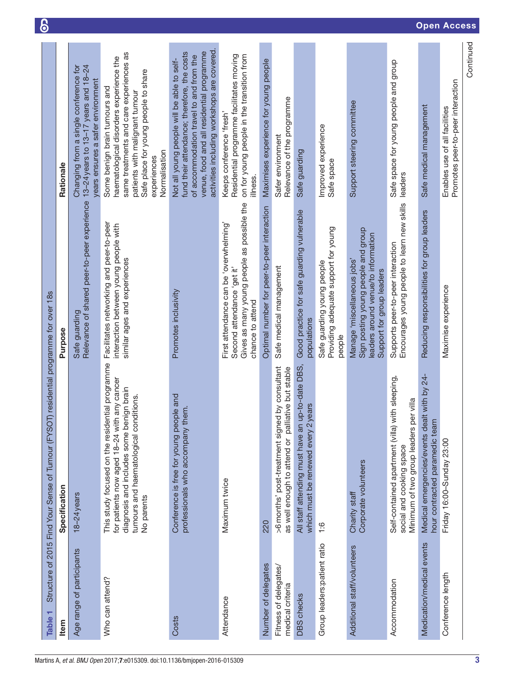<span id="page-2-0"></span>

| Table 1                                   | Structure of 2015 Find Your Sense of Tumour (FYSOT) residential programme for over 18s                                                                                                             |                                                                                                                                        |                                                                                                                                                                                                                                  |
|-------------------------------------------|----------------------------------------------------------------------------------------------------------------------------------------------------------------------------------------------------|----------------------------------------------------------------------------------------------------------------------------------------|----------------------------------------------------------------------------------------------------------------------------------------------------------------------------------------------------------------------------------|
| Item                                      | Specification                                                                                                                                                                                      | Purpose                                                                                                                                | Rationale                                                                                                                                                                                                                        |
| Age range of participants                 | 18-24 years                                                                                                                                                                                        | Relevance of shared peer-to-peer experience<br>Safe guarding                                                                           | Changing from a single conference for<br>13-24 years to 13-17 years and $18-24$<br>years ensures a safer environment                                                                                                             |
| Who can attend?                           | This study focused on the residential programme<br>for patients now aged 18-24 with any cancer<br>diagnosis and includes some benign brain<br>tumours and haematological conditions.<br>No parents | Facilitates networking and peer-to-peer<br>interaction between young people with<br>similar ages and experiences                       | same treatments and care experiences as<br>haematological disorders experience the<br>Safe place for young people to share<br>Some benign brain tumours and<br>patients with malignant tumour<br>Normalisation<br>experiences    |
| Costs                                     | Conference is free for young people and<br>professionals who accompany them.                                                                                                                       | Promotes inclusivity                                                                                                                   | activities including workshops are covered.<br>venue, food and all residential programme<br>fund their attendance; therefore, the costs<br>of accommodation travel to and from the<br>Not all young people will be able to self- |
| Attendance                                | Maximum twice                                                                                                                                                                                      | Gives as many young people as possible the<br>First attendance can be 'overwhelming'<br>Second attendance 'get it'<br>chance to attend | Residential programme facilitates moving<br>on for young people in the transition from<br>Keeps conference 'fresh'<br>illness.                                                                                                   |
| Number of delegates                       | 220                                                                                                                                                                                                | Optimal number for peer-to-peer interaction                                                                                            | Maximises experience for young people                                                                                                                                                                                            |
| Fitness of delegates/<br>medical criteria | >6 months' post-treatment signed by consultant<br>as well enough to attend or palliative but stable                                                                                                | Safe medical management                                                                                                                | Relevance of the programme<br>Safer environment                                                                                                                                                                                  |
| <b>DBS</b> checks                         | up-to-date DBS,<br>years<br>All staff attending must have an<br>which must be renewed every 2                                                                                                      | Good practice for safe guarding vulnerable<br>populations                                                                              | Safe guarding                                                                                                                                                                                                                    |
| Group leaders: patient ratio              | $\frac{0}{1}$                                                                                                                                                                                      | Providing adequate support for young<br>Safe guarding young people<br>people                                                           | Improved experience<br>Safe space                                                                                                                                                                                                |
| Additional staff/volunteers               | Corporate volunteers<br>Charity staff                                                                                                                                                              | Sign posting young people and group<br>leaders around venue/to information<br>Manage 'miscellaneous jobs'<br>Support for group leaders | Support steering committee                                                                                                                                                                                                       |
| Accommodation                             | with sleeping,<br>Minimum of two group leaders per villa<br>Self-contained apartment (villa)<br>social and cooking space                                                                           | Encourages young people to learn new skills<br>Supports peer-to-peer interaction                                                       | Safe space for young people and group<br>leaders                                                                                                                                                                                 |
| Medication/medical events                 | Medical emergencies/events dealt with by 24-<br>hour contracted paramedic team                                                                                                                     | Reducing responsibilities for group leaders                                                                                            | Safe medical management                                                                                                                                                                                                          |
| Conference length                         | Friday 16:00-Sunday 23:00                                                                                                                                                                          | Maximise experience                                                                                                                    | Promotes peer-to-peer interaction<br>Enables use of all facilities                                                                                                                                                               |
|                                           |                                                                                                                                                                                                    |                                                                                                                                        | Continued                                                                                                                                                                                                                        |

8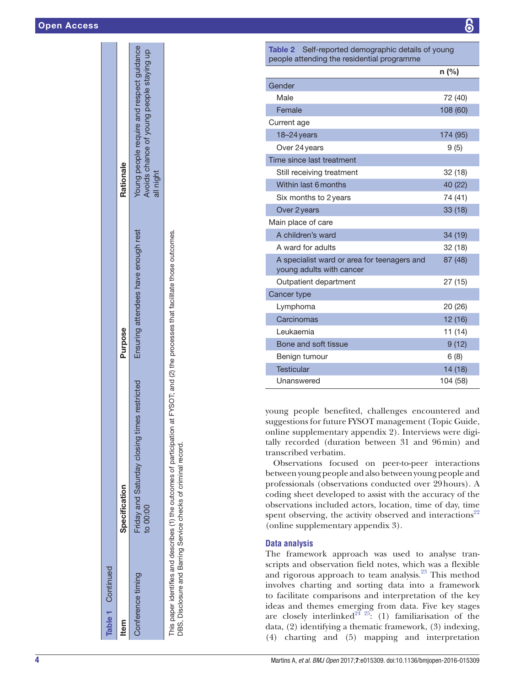| Table 1 Continued |                                                                                                                                       |                                     |                                                                                                  |
|-------------------|---------------------------------------------------------------------------------------------------------------------------------------|-------------------------------------|--------------------------------------------------------------------------------------------------|
| tem               | Specification                                                                                                                         | <b>Purpose</b>                      | Rationale                                                                                        |
| Conference timing | times restricted<br>Friday and Saturday closing<br>to 00:00                                                                           | Ensuring attendees have enough rest | oung people require and respect guidance<br>woids chance of young people staying up<br>all night |
|                   | This paper identifies and describes (1) the outcomes of participation at FYSOT; and (2) the processes that facilitate those outcomes. |                                     |                                                                                                  |

 $\overline{\phantom{a}}$  ന

DBS, Disclosure and Barring Service checks of criminal record.

DBS.

Disclosure and Barring Service checks of criminal record.

| Self-reported demographic details of young |  |
|--------------------------------------------|--|
| attending the residential programme        |  |

<span id="page-3-0"></span>Table 2 people

|                                                                         | $n$ (%)  |  |  |  |
|-------------------------------------------------------------------------|----------|--|--|--|
| Gender                                                                  |          |  |  |  |
| Male                                                                    | 72 (40)  |  |  |  |
| Female                                                                  | 108 (60) |  |  |  |
| Current age                                                             |          |  |  |  |
| $18 - 24$ years                                                         | 174 (95) |  |  |  |
| Over 24 years                                                           | 9 (5)    |  |  |  |
| Time since last treatment                                               |          |  |  |  |
| Still receiving treatment                                               | 32 (18)  |  |  |  |
| Within last 6 months                                                    | 40 (22)  |  |  |  |
| Six months to 2 years                                                   | 74 (41)  |  |  |  |
| Over 2 years                                                            | 33 (18)  |  |  |  |
| Main place of care                                                      |          |  |  |  |
| A children's ward                                                       | 34 (19)  |  |  |  |
| A ward for adults                                                       | 32(18)   |  |  |  |
| A specialist ward or area for teenagers and<br>young adults with cancer | 87 (48)  |  |  |  |
| Outpatient department                                                   | 27 (15)  |  |  |  |
| Cancer type                                                             |          |  |  |  |
| Lymphoma                                                                | 20 (26)  |  |  |  |
| Carcinomas                                                              | 12 (16)  |  |  |  |
| Leukaemia                                                               | 11 (14)  |  |  |  |
| Bone and soft tissue                                                    | 9(12)    |  |  |  |
| Benign tumour                                                           | 6(8)     |  |  |  |
| <b>Testicular</b>                                                       | 14 (18)  |  |  |  |
| Unanswered                                                              | 104 (58) |  |  |  |

young people benefited, challenges encountered and suggestions for future FYSOT management (Topic Guide, online supplementary [appendix 2](https://dx.doi.org/10.1136/bmjopen-2016-015309)). Interviews were digi tally recorded (duration between 31 and 96min) and transcribed verbatim.

Observations focused on peer-to-peer interactions between young people and also between young people and professionals (observations conducted over 29hours). A coding sheet developed to assist with the accuracy of the observations included actors, location, time of day, time spent observing, the activity observed and interactions<sup>22</sup> (online supplementary [appendix 3\)](https://dx.doi.org/10.1136/bmjopen-2016-015309).

# **Data analysis**

The framework approach was used to analyse tran scripts and observation field notes, which was a flexible and rigorous approach to team analysis. $23$  This method involves charting and sorting data into a framework to facilitate comparisons and interpretation of the key ideas and themes emerging from data. Five key stages are closely interlinked<sup>24</sup><sup>25</sup>: (1) familiarisation of the data, (2) identifying a thematic framework, (3) indexing, (4) charting and (5) mapping and interpretation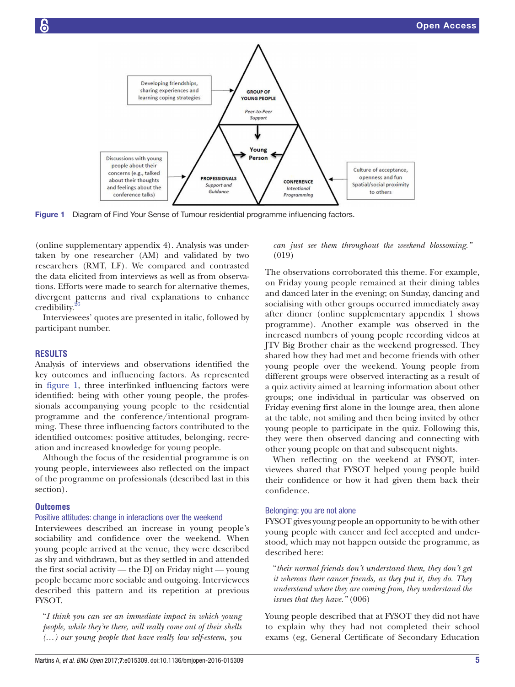

Figure 1 Diagram of Find Your Sense of Tumour residential programme influencing factors.

(online supplementary [appendix 4\)](https://dx.doi.org/10.1136/bmjopen-2016-015309). Analysis was undertaken by one researcher (AM) and validated by two researchers (RMT, LF). We compared and contrasted the data elicited from interviews as well as from observations. Efforts were made to search for alternative themes, divergent patterns and rival explanations to enhance credibility.

Interviewees' quotes are presented in italic, followed by participant number.

#### **Results**

Analysis of interviews and observations identified the key outcomes and influencing factors. As represented in [figure](#page-4-0) 1, three interlinked influencing factors were identified: being with other young people, the professionals accompanying young people to the residential programme and the conference/intentional programming. These three influencing factors contributed to the identified outcomes: positive attitudes, belonging, recreation and increased knowledge for young people.

Although the focus of the residential programme is on young people, interviewees also reflected on the impact of the programme on professionals (described last in this section).

## **Outcomes**

## Positive attitudes: change in interactions over the weekend

Interviewees described an increase in young people's sociability and confidence over the weekend. When young people arrived at the venue, they were described as shy and withdrawn, but as they settled in and attended the first social activity — the DJ on Friday night — young people became more sociable and outgoing. Interviewees described this pattern and its repetition at previous FYSOT.

"*I think you can see an immediate impact in which young people, while they're there, will really come out of their shells (…) our young people that have really low self-esteem, you* 

<span id="page-4-0"></span>*can just see them throughout the weekend blossoming."* (019)

The observations corroborated this theme. For example, on Friday young people remained at their dining tables and danced later in the evening; on Sunday, dancing and socialising with other groups occurred immediately away after dinner (online supplementary [appendix 1](https://dx.doi.org/10.1136/bmjopen-2016-015309) shows programme). Another example was observed in the increased numbers of young people recording videos at JTV Big Brother chair as the weekend progressed. They shared how they had met and become friends with other young people over the weekend. Young people from different groups were observed interacting as a result of a quiz activity aimed at learning information about other groups; one individual in particular was observed on Friday evening first alone in the lounge area, then alone at the table, not smiling and then being invited by other young people to participate in the quiz. Following this, they were then observed dancing and connecting with other young people on that and subsequent nights.

When reflecting on the weekend at FYSOT, interviewees shared that FYSOT helped young people build their confidence or how it had given them back their confidence.

#### Belonging: you are not alone

FYSOT gives young people an opportunity to be with other young people with cancer and feel accepted and understood, which may not happen outside the programme, as described here:

"*their normal friends don't understand them, they don't get it whereas their cancer friends, as they put it, they do. They understand where they are coming from, they understand the issues that they have."* (006)

Young people described that at FYSOT they did not have to explain why they had not completed their school exams (eg, General Certificate of Secondary Education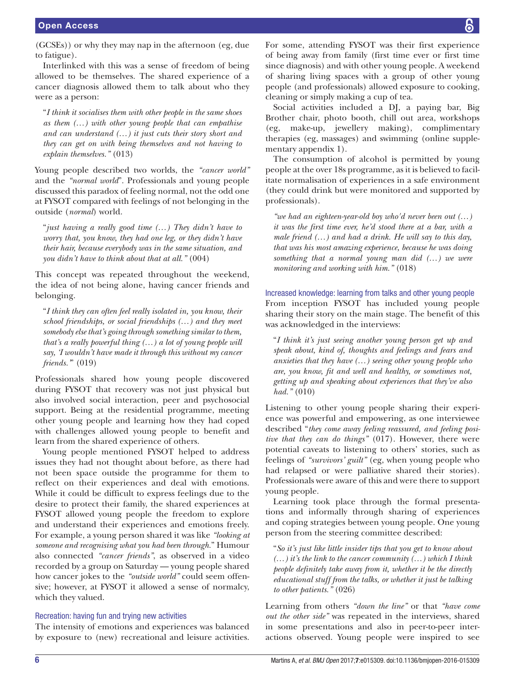(GCSEs)) or why they may nap in the afternoon (eg, due to fatigue).

Interlinked with this was a sense of freedom of being allowed to be themselves. The shared experience of a cancer diagnosis allowed them to talk about who they were as a person:

"*I think it socialises them with other people in the same shoes as them (…) with other young people that can empathise and can understand (…) it just cuts their story short and they can get on with being themselves and not having to explain themselves."* (013)

Young people described two worlds, the *"cancer world"* and the *"normal world*". Professionals and young people discussed this paradox of feeling normal, not the odd one at FYSOT compared with feelings of not belonging in the outside (*normal*) world.

"*just having a really good time (…) They didn't have to worry that, you know, they had one leg, or they didn't have their hair, because everybody was in the same situation, and you didn't have to think about that at all."* (004)

This concept was repeated throughout the weekend, the idea of not being alone, having cancer friends and belonging.

"*I think they can often feel really isolated in, you know, their school friendships, or social friendships (…) and they meet somebody else that's going through something similar to them, that's a really powerful thing (…) a lot of young people will say, 'I wouldn't have made it through this without my cancer friends.'*" (019)

Professionals shared how young people discovered during FYSOT that recovery was not just physical but also involved social interaction, peer and psychosocial support. Being at the residential programme, meeting other young people and learning how they had coped with challenges allowed young people to benefit and learn from the shared experience of others.

Young people mentioned FYSOT helped to address issues they had not thought about before, as there had not been space outside the programme for them to reflect on their experiences and deal with emotions. While it could be difficult to express feelings due to the desire to protect their family, the shared experiences at FYSOT allowed young people the freedom to explore and understand their experiences and emotions freely. For example, a young person shared it was like *"looking at someone and recognising what you had been through.*" Humour also connected *"cancer friends"*, as observed in a video recorded by a group on Saturday — young people shared how cancer jokes to the *"outside world"* could seem offensive; however, at FYSOT it allowed a sense of normalcy, which they valued.

# Recreation: having fun and trying new activities

The intensity of emotions and experiences was balanced by exposure to (new) recreational and leisure activities. For some, attending FYSOT was their first experience of being away from family (first time ever or first time since diagnosis) and with other young people. A weekend of sharing living spaces with a group of other young people (and professionals) allowed exposure to cooking, cleaning or simply making a cup of tea.

Social activities included a DJ, a paying bar, Big Brother chair, photo booth, chill out area, workshops (eg, make-up, jewellery making), complimentary therapies (eg, massages) and swimming (online supplementary [appendix 1\)](https://dx.doi.org/10.1136/bmjopen-2016-015309).

The consumption of alcohol is permitted by young people at the over 18s programme, as it is believed to facilitate normalisation of experiences in a safe environment (they could drink but were monitored and supported by professionals).

*"we had an eighteen-year-old boy who'd never been out (…) it was the first time ever, he'd stood there at a bar, with a male friend (…) and had a drink. He will say to this day, that was his most amazing experience, because he was doing something that a normal young man did (…) we were monitoring and working with him."* (018)

Increased knowledge: learning from talks and other young people From inception FYSOT has included young people sharing their story on the main stage. The benefit of this was acknowledged in the interviews:

"*I think it's just seeing another young person get up and speak about, kind of, thoughts and feelings and fears and anxieties that they have (…) seeing other young people who are, you know, fit and well and healthy, or sometimes not, getting up and speaking about experiences that they've also had."* (010)

Listening to other young people sharing their experience was powerful and empowering, as one interviewee described "*they come away feeling reassured, and feeling positive that they can do things"* (017). However, there were potential caveats to listening to others' stories, such as feelings of *"survivors' guilt"* (eg, when young people who had relapsed or were palliative shared their stories). Professionals were aware of this and were there to support young people.

Learning took place through the formal presentations and informally through sharing of experiences and coping strategies between young people. One young person from the steering committee described:

"*So it's just like little insider tips that you get to know about (…) it's the link to the cancer community (…) which I think people definitely take away from it, whether it be the directly educational stuff from the talks, or whether it just be talking to other patients."* (026)

Learning from others *"down the line"* or that *"have come out the other side"* was repeated in the interviews, shared in some presentations and also in peer-to-peer interactions observed. Young people were inspired to see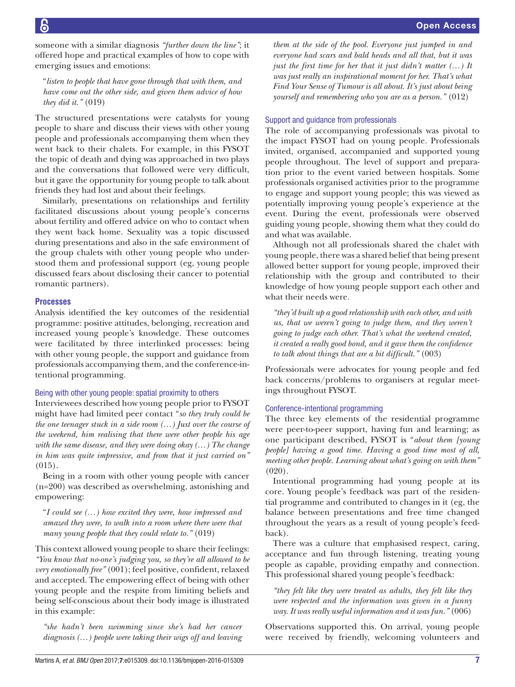someone with a similar diagnosis *"further down the line"*; it offered hope and practical examples of how to cope with emerging issues and emotions:

"*listen to people that have gone through that with them, and have come out the other side, and given them advice of how they did it."* (019)

The structured presentations were catalysts for young people to share and discuss their views with other young people and professionals accompanying them when they went back to their chalets. For example, in this FYSOT the topic of death and dying was approached in two plays and the conversations that followed were very difficult, but it gave the opportunity for young people to talk about friends they had lost and about their feelings.

Similarly, presentations on relationships and fertility facilitated discussions about young people's concerns about fertility and offered advice on who to contact when they went back home. Sexuality was a topic discussed during presentations and also in the safe environment of the group chalets with other young people who understood them and professional support (eg, young people discussed fears about disclosing their cancer to potential romantic partners).

#### **Processes**

Analysis identified the key outcomes of the residential programme: positive attitudes, belonging, recreation and increased young people's knowledge. These outcomes were facilitated by three interlinked processes: being with other young people, the support and guidance from professionals accompanying them, and the conference-intentional programming.

#### Being with other young people: spatial proximity to others

Interviewees described how young people prior to FYSOT might have had limited peer contact "*so they truly could be the one teenager stuck in a side room (…) Just over the course of the weekend, him realising that there were other people his age with the same disease, and they were doing okay (…) The change in him was quite impressive, and from that it just carried on"*  $(015).$ 

Being in a room with other young people with cancer (n=200) was described as overwhelming, astonishing and empowering:

"*I could see (…) how excited they were, how impressed and amazed they were, to walk into a room where there were that many young people that they could relate to."* (019)

This context allowed young people to share their feelings: *"You know that no-one's judging you, so they're all allowed to be very emotionally free"* (001); feel positive, confident, relaxed and accepted. The empowering effect of being with other young people and the respite from limiting beliefs and being self-conscious about their body image is illustrated in this example:

*"she hadn't been swimming since she's had her cancer diagnosis (…) people were taking their wigs off and leaving*  *them at the side of the pool. Everyone just jumped in and everyone had scars and bald heads and all that, but it was just the first time for her that it just didn't matter (…) It was just really an inspirational moment for her. That's what Find Your Sense of Tumour is all about. It's just about being yourself and remembering who you are as a person."* (012)

#### Support and guidance from professionals

The role of accompanying professionals was pivotal to the impact FYSOT had on young people. Professionals invited, organised, accompanied and supported young people throughout. The level of support and preparation prior to the event varied between hospitals. Some professionals organised activities prior to the programme to engage and support young people; this was viewed as potentially improving young people's experience at the event. During the event, professionals were observed guiding young people, showing them what they could do and what was available.

Although not all professionals shared the chalet with young people, there was a shared belief that being present allowed better support for young people, improved their relationship with the group and contributed to their knowledge of how young people support each other and what their needs were.

*"they'd built up a good relationship with each other, and with us, that we weren't going to judge them, and they weren't going to judge each other. That's what the weekend created, it created a really good bond, and it gave them the confidence to talk about things that are a bit difficult."* (003)

Professionals were advocates for young people and fed back concerns/problems to organisers at regular meetings throughout FYSOT.

#### Conference-intentional programming

The three key elements of the residential programme were peer-to-peer support, having fun and learning; as one participant described, FYSOT is "*about them [young people] having a good time. Having a good time most of all, meeting other people. Learning about what's going on with them"* (020).

Intentional programming had young people at its core. Young people's feedback was part of the residential programme and contributed to changes in it (eg, the balance between presentations and free time changed throughout the years as a result of young people's feedback).

There was a culture that emphasised respect, caring, acceptance and fun through listening, treating young people as capable, providing empathy and connection. This professional shared young people's feedback:

*"they felt like they were treated as adults, they felt like they were respected and the information was given in a funny way. It was really useful information and it was fun."* (006)

Observations supported this. On arrival, young people were received by friendly, welcoming volunteers and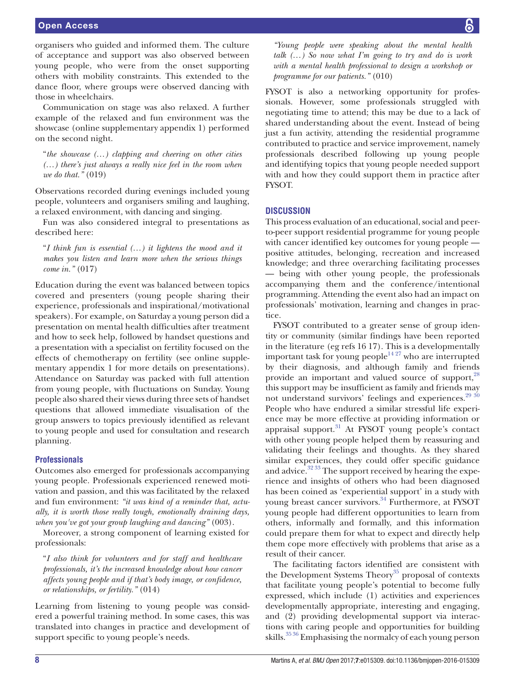organisers who guided and informed them. The culture of acceptance and support was also observed between young people, who were from the onset supporting others with mobility constraints. This extended to the dance floor, where groups were observed dancing with those in wheelchairs.

Communication on stage was also relaxed. A further example of the relaxed and fun environment was the showcase (online supplementary [appendix 1](https://dx.doi.org/10.1136/bmjopen-2016-015309)) performed on the second night.

"*the showcase (…) clapping and cheering on other cities (…) there's just always a really nice feel in the room when we do that."* (019)

Observations recorded during evenings included young people, volunteers and organisers smiling and laughing, a relaxed environment, with dancing and singing.

Fun was also considered integral to presentations as described here:

"*I think fun is essential (…) it lightens the mood and it makes you listen and learn more when the serious things come in."* (017)

Education during the event was balanced between topics covered and presenters (young people sharing their experience, professionals and inspirational/motivational speakers). For example, on Saturday a young person did a presentation on mental health difficulties after treatment and how to seek help, followed by handset questions and a presentation with a specialist on fertility focused on the effects of chemotherapy on fertility (see online supplementary [appendix 1](https://dx.doi.org/10.1136/bmjopen-2016-015309) for more details on presentations). Attendance on Saturday was packed with full attention from young people, with fluctuations on Sunday. Young people also shared their views during three sets of handset questions that allowed immediate visualisation of the group answers to topics previously identified as relevant to young people and used for consultation and research planning.

## **Professionals**

Outcomes also emerged for professionals accompanying young people. Professionals experienced renewed motivation and passion, and this was facilitated by the relaxed and fun environment: *"it was kind of a reminder that, actually, it is worth those really tough, emotionally draining days, when you've got your group laughing and dancing"* (003).

Moreover, a strong component of learning existed for professionals:

"*I also think for volunteers and for staff and healthcare professionals, it's the increased knowledge about how cancer affects young people and if that's body image, or confidence, or relationships, or fertility."* (014)

Learning from listening to young people was considered a powerful training method. In some cases, this was translated into changes in practice and development of support specific to young people's needs.

*"Young people were speaking about the mental health talk (…) So now what I'm going to try and do is work with a mental health professional to design a workshop or programme for our patients."* (010)

FYSOT is also a networking opportunity for professionals. However, some professionals struggled with negotiating time to attend; this may be due to a lack of shared understanding about the event. Instead of being just a fun activity, attending the residential programme contributed to practice and service improvement, namely professionals described following up young people and identifying topics that young people needed support with and how they could support them in practice after FYSOT.

#### **Discussion**

This process evaluation of an educational, social and peerto-peer support residential programme for young people with cancer identified key outcomes for young people positive attitudes, belonging, recreation and increased knowledge; and three overarching facilitating processes — being with other young people, the professionals accompanying them and the conference/intentional programming. Attending the event also had an impact on professionals' motivation, learning and changes in practice.

FYSOT contributed to a greater sense of group identity or community (similar findings have been reported in the literature (eg refs [16 17](#page-9-3)). This is a developmentally important task for young people $14\frac{27}{4}$  who are interrupted by their diagnosis, and although family and friends provide an important and valued source of support, <sup>28</sup> this support may be insufficient as family and friends may not understand survivors' feelings and experiences.<sup>[29 30](#page-9-14)</sup> People who have endured a similar stressful life experience may be more effective at providing information or appraisal support.<sup>31</sup> At FYSOT young people's contact with other young people helped them by reassuring and validating their feelings and thoughts. As they shared similar experiences, they could offer specific guidance and advice. $3233$  The support received by hearing the experience and insights of others who had been diagnosed has been coined as 'experiential support' in a study with young breast cancer survivors.<sup>34</sup> Furthermore, at FYSOT young people had different opportunities to learn from others, informally and formally, and this information could prepare them for what to expect and directly help them cope more effectively with problems that arise as a result of their cancer.

The facilitating factors identified are consistent with the Development Systems Theory<sup>35</sup> proposal of contexts that facilitate young people's potential to become fully expressed, which include (1) activities and experiences developmentally appropriate, interesting and engaging, and (2) providing developmental support via interactions with caring people and opportunities for building skills.<sup>35 36</sup> Emphasising the normalcy of each young person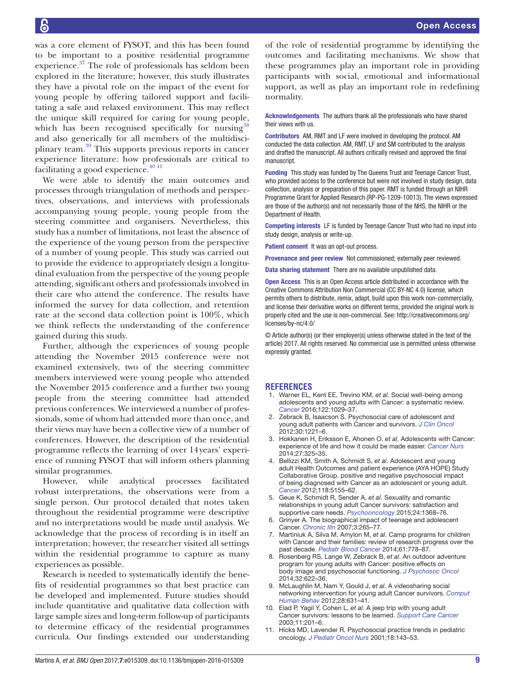was a core element of FYSOT, and this has been found to be important to a positive residential programme experience.<sup>37</sup> The role of professionals has seldom been explored in the literature; however, this study illustrates they have a pivotal role on the impact of the event for young people by offering tailored support and facilitating a safe and relaxed environment. This may reflect the unique skill required for caring for young people, which has been recognised specifically for nursing $\sin \theta$ and also generically for all members of the multidisciplinary team.[39](#page-9-21) This supports previous reports in cancer experience literature: how professionals are critical to facilitating a good experience.<sup>40 41</sup>

We were able to identify the main outcomes and processes through triangulation of methods and perspectives, observations, and interviews with professionals accompanying young people, young people from the steering committee and organisers. Nevertheless, this study has a number of limitations, not least the absence of the experience of the young person from the perspective of a number of young people. This study was carried out to provide the evidence to appropriately design a longitudinal evaluation from the perspective of the young people attending, significant others and professionals involved in their care who attend the conference. The results have informed the survey for data collection, and retention rate at the second data collection point is 100%, which we think reflects the understanding of the conference gained during this study.

Further, although the experiences of young people attending the November 2015 conference were not examined extensively, two of the steering committee members interviewed were young people who attended the November 2015 conference and a further two young people from the steering committee had attended previous conferences. We interviewed a number of professionals, some of whom had attended more than once, and their views may have been a collective view of a number of conferences. However, the description of the residential programme reflects the learning of over 14years' experience of running FYSOT that will inform others planning similar programmes.

However, while analytical processes facilitated robust interpretations, the observations were from a single person. Our protocol detailed that notes taken throughout the residential programme were descriptive and no interpretations would be made until analysis. We acknowledge that the process of recording is in itself an interpretation; however, the researcher visited all settings within the residential programme to capture as many experiences as possible.

Research is needed to systematically identify the benefits of residential programmes so that best practice can be developed and implemented. Future studies should include quantitative and qualitative data collection with large sample sizes and long-term follow-up of participants to determine efficacy of the residential programmes curricula. Our findings extended our understanding

of the role of residential programme by identifying the outcomes and facilitating mechanisms. We show that these programmes play an important role in providing participants with social, emotional and informational support, as well as play an important role in redefining normality.

Acknowledgements The authors thank all the professionals who have shared their views with us.

Contributors AM, RMT and LF were involved in developing the protocol. AM conducted the data collection. AM, RMT, LF and SM contributed to the analysis and drafted the manuscript. All authors critically revised and approved the final manuscript.

Funding This study was funded by The Queens Trust and Teenage Cancer Trust, who provided access to the conference but were not involved in study design, data collection, analysis or preparation of this paper. RMT is funded through an NIHR Programme Grant for Applied Research (RP-PG-1209-10013). The views expressed are those of the author(s) and not necessarily those of the NHS, the NIHR or the Department of Health.

Competing interests LF is funded by Teenage Cancer Trust who had no input into study design, analysis or write-up.

Patient consent It was an opt-out process.

Provenance and peer review Not commissioned; externally peer reviewed.

Data sharing statement There are no available unpublished data.

Open Access This is an Open Access article distributed in accordance with the Creative Commons Attribution Non Commercial (CC BY-NC 4.0) license, which permits others to distribute, remix, adapt, build upon this work non-commercially, and license their derivative works on different terms, provided the original work is properly cited and the use is non-commercial. See: [http://creativecommons.org/](http://creativecommons.org/licenses/by-nc/4.0/) [licenses/by-nc/4.0/](http://creativecommons.org/licenses/by-nc/4.0/)

© Article author(s) (or their employer(s) unless otherwise stated in the text of the article) 2017. All rights reserved. No commercial use is permitted unless otherwise expressly granted.

#### **References**

- <span id="page-8-0"></span>1. Warner EL, Kent EE, Trevino KM, *et al*. Social well-being among adolescents and young adults with Cancer: a systematic review. *[Cancer](http://dx.doi.org/10.1002/cncr.29866)* 2016;122:1029–37.
- 2. Zebrack B, Isaacson S. Psychosocial care of adolescent and young adult patients with Cancer and survivors. *[J Clin Oncol](http://dx.doi.org/10.1200/JCO.2011.39.5467)* 2012;30:1221–6.
- <span id="page-8-1"></span>3. Hokkanen H, Eriksson E, Ahonen O, *et al*. Adolescents with Cancer: experience of life and how it could be made easier. *Cancer Nurs* 2014;27:325–35.
- <span id="page-8-2"></span>4. Bellizzi KM, Smith A, Schmidt S, *et al*. Adolescent and young adult Health Outcomes and patient experience (AYA HOPE) Study Collaborative Group. positive and negative psychosocial impact of being diagnosed with Cancer as an adolescent or young adult. *Cancer* 2012;118:5155–62.
- <span id="page-8-3"></span>5. Geue K, Schmidt R, Sender A, *et al*. Sexuality and romantic relationships in young adult Cancer survivors: satisfaction and supportive care needs. *[Psychooncology](http://dx.doi.org/10.1002/pon.3805)* 2015;24:1368–76.
- <span id="page-8-4"></span>6. Grinyer A. The biographical impact of teenage and adolescent Cancer. *[Chronic Illn](http://dx.doi.org/10.1177/1742395307085335)* 2007;3:265–77.
- <span id="page-8-5"></span>7. Martiniuk A, Silva M, Amylon M, *et al*. Camp programs for children with Cancer and their families: review of research progress over the past decade. *[Pediatr Blood Cancer](http://dx.doi.org/10.1002/pbc.24912)* 2014;61:778–87.
- <span id="page-8-6"></span>8. Rosenberg RS, Lange W, Zebrack B, *et al*. An outdoor adventure program for young adults with Cancer: positive effects on body image and psychosocial functioning. *[J Psychosoc Oncol](http://dx.doi.org/10.1080/07347332.2014.936652)* 2014;32:622–36.
- <span id="page-8-7"></span>9. McLaughlin M, Nam Y, Gould J, *et al*. A videosharing social networking intervention for young adult Cancer survivors. *[Comput](http://dx.doi.org/10.1016/j.chb.2011.11.009)  [Human Behav](http://dx.doi.org/10.1016/j.chb.2011.11.009)* 2012;28:631–41.
- <span id="page-8-8"></span>10. Elad P, Yagil Y, Cohen L, *et al*. A jeep trip with young adult Cancer survivors: lessons to be learned. *[Support Care Cancer](http://dx.doi.org/10.1007/s00520-002-0426-4)* 2003;11:201–6.
- 11. Hicks MD, Lavender R. Psychosocial practice trends in pediatric oncology. *[J Pediatr Oncol Nurs](http://dx.doi.org/10.1053/jpon.2001.24795)* 2001;18:143–53.